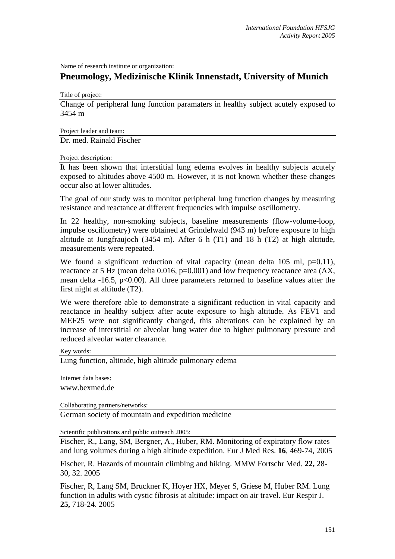Name of research institute or organization:

## **Pneumology, Medizinische Klinik Innenstadt, University of Munich**

Title of project:

Change of peripheral lung function paramaters in healthy subject acutely exposed to 3454 m

Project leader and team:

Dr. med. Rainald Fischer

Project description:

It has been shown that interstitial lung edema evolves in healthy subjects acutely exposed to altitudes above 4500 m. However, it is not known whether these changes occur also at lower altitudes.

The goal of our study was to monitor peripheral lung function changes by measuring resistance and reactance at different frequencies with impulse oscillometry.

In 22 healthy, non-smoking subjects, baseline measurements (flow-volume-loop, impulse oscillometry) were obtained at Grindelwald (943 m) before exposure to high altitude at Jungfraujoch (3454 m). After 6 h (T1) and 18 h (T2) at high altitude, measurements were repeated.

We found a significant reduction of vital capacity (mean delta  $105$  ml,  $p=0.11$ ), reactance at 5 Hz (mean delta 0.016, p=0.001) and low frequency reactance area (AX, mean delta  $-16.5$ ,  $p<0.00$ ). All three parameters returned to baseline values after the first night at altitude (T2).

We were therefore able to demonstrate a significant reduction in vital capacity and reactance in healthy subject after acute exposure to high altitude. As FEV1 and MEF25 were not significantly changed, this alterations can be explained by an increase of interstitial or alveolar lung water due to higher pulmonary pressure and reduced alveolar water clearance.

Key words:

Lung function, altitude, high altitude pulmonary edema

Internet data bases:

www.bexmed.de

Collaborating partners/networks:

German society of mountain and expedition medicine

Scientific publications and public outreach 2005:

Fischer, R., Lang, SM, Bergner, A., Huber, RM. Monitoring of expiratory flow rates and lung volumes during a high altitude expedition. Eur J Med Res. **16**, 469-74, 2005

Fischer, R. Hazards of mountain climbing and hiking. MMW Fortschr Med. **22,** 28- 30, 32. 2005

Fischer, R, Lang SM, Bruckner K, Hoyer HX, Meyer S, Griese M, Huber RM. Lung function in adults with cystic fibrosis at altitude: impact on air travel. Eur Respir J. **25,** 718-24. 2005